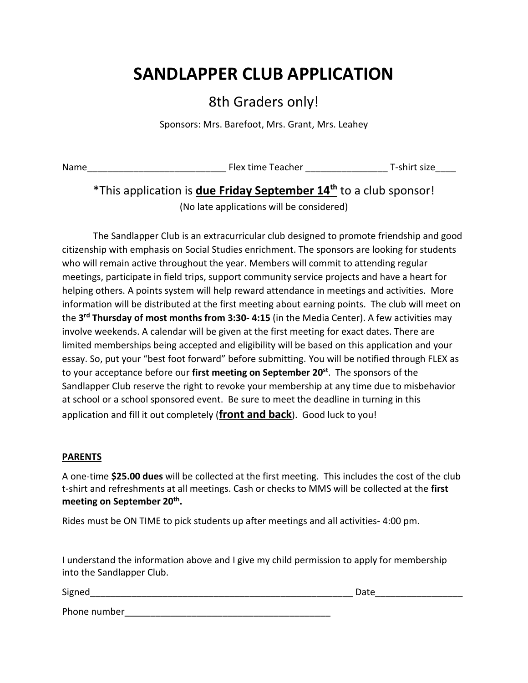# **SANDLAPPER CLUB APPLICATION**

# 8th Graders only!

Sponsors: Mrs. Barefoot, Mrs. Grant, Mrs. Leahey

Name\_\_\_\_\_\_\_\_\_\_\_\_\_\_\_\_\_\_\_\_\_\_\_\_\_\_\_ Flex time Teacher \_\_\_\_\_\_\_\_\_\_\_\_\_\_\_\_ T-shirt size\_\_\_\_

# \*This application is **due Friday September 14th** to a club sponsor!

(No late applications will be considered)

The Sandlapper Club is an extracurricular club designed to promote friendship and good citizenship with emphasis on Social Studies enrichment. The sponsors are looking for students who will remain active throughout the year. Members will commit to attending regular meetings, participate in field trips, support community service projects and have a heart for helping others. A points system will help reward attendance in meetings and activities. More information will be distributed at the first meeting about earning points. The club will meet on the **3rd Thursday of most months from 3:30- 4:15** (in the Media Center). A few activities may involve weekends. A calendar will be given at the first meeting for exact dates. There are limited memberships being accepted and eligibility will be based on this application and your essay. So, put your "best foot forward" before submitting. You will be notified through FLEX as to your acceptance before our **first meeting on September 20st** . The sponsors of the Sandlapper Club reserve the right to revoke your membership at any time due to misbehavior at school or a school sponsored event. Be sure to meet the deadline in turning in this application and fill it out completely (**front and back**). Good luck to you!

## **PARENTS**

A one-time **\$25.00 dues** will be collected at the first meeting. This includes the cost of the club t-shirt and refreshments at all meetings. Cash or checks to MMS will be collected at the **first**  meeting on September 20<sup>th</sup>.

Rides must be ON TIME to pick students up after meetings and all activities- 4:00 pm.

I understand the information above and I give my child permission to apply for membership into the Sandlapper Club.

| Signed       | Date |
|--------------|------|
| Phone number |      |